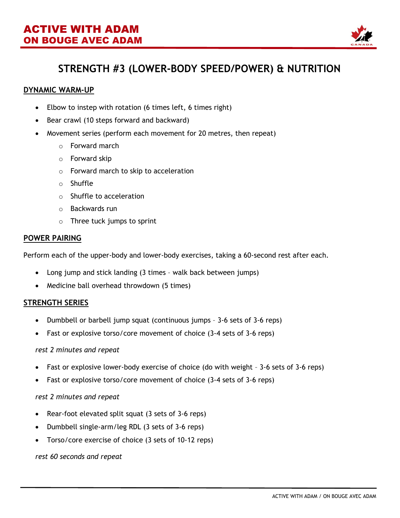

# **STRENGTH #3 (LOWER-BODY SPEED/POWER) & NUTRITION**

# **DYNAMIC WARM-UP**

- Elbow to instep with rotation (6 times left, 6 times right)
- Bear crawl (10 steps forward and backward)
- Movement series (perform each movement for 20 metres, then repeat)
	- o Forward march
	- o Forward skip
	- o Forward march to skip to acceleration
	- o Shuffle
	- o Shuffle to acceleration
	- o Backwards run
	- $\circ$  Three tuck jumps to sprint

### **POWER PAIRING**

Perform each of the upper-body and lower-body exercises, taking a 60-second rest after each.

- Long jump and stick landing (3 times walk back between jumps)
- Medicine ball overhead throwdown (5 times)

# **STRENGTH SERIES**

- Dumbbell or barbell jump squat (continuous jumps 3-6 sets of 3-6 reps)
- Fast or explosive torso/core movement of choice (3-4 sets of 3-6 reps)

#### *rest 2 minutes and repeat*

- Fast or explosive lower-body exercise of choice (do with weight 3-6 sets of 3-6 reps)
- Fast or explosive torso/core movement of choice (3-4 sets of 3-6 reps)

#### *rest 2 minutes and repeat*

- Rear-foot elevated split squat (3 sets of 3-6 reps)
- Dumbbell single-arm/leg RDL (3 sets of 3-6 reps)
- Torso/core exercise of choice (3 sets of 10-12 reps)

#### *rest 60 seconds and repeat*